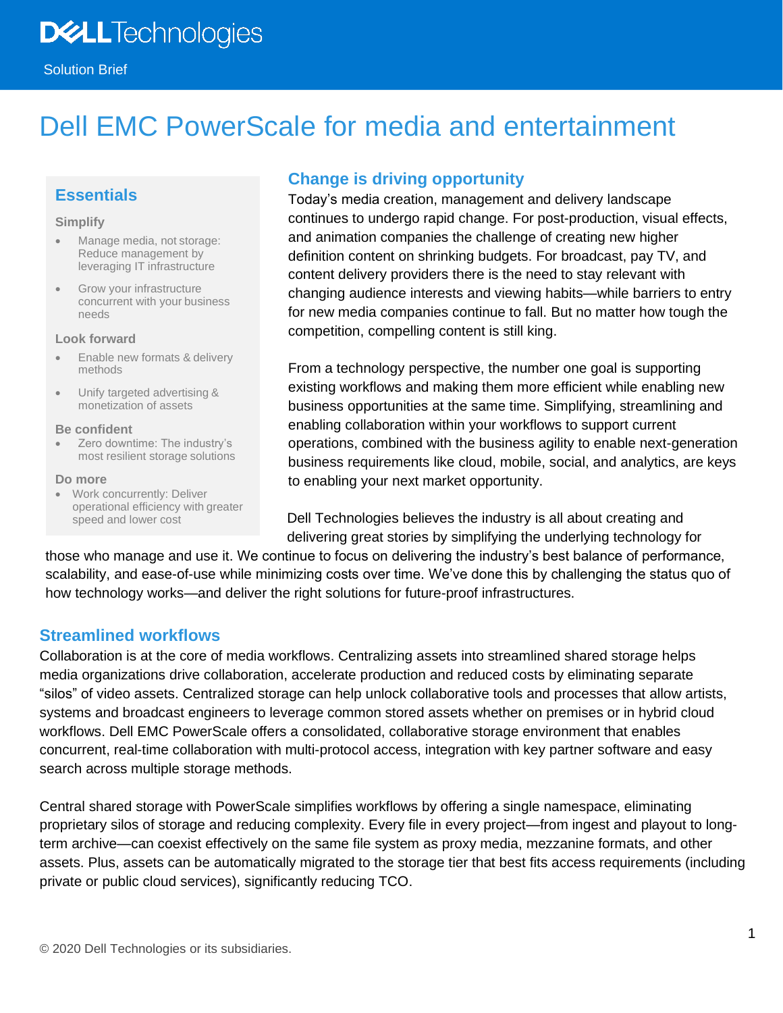# Dell EMC PowerScale for media and entertainment

# **Essentials**

#### **Simplify**

- Manage media, not storage: Reduce management by leveraging IT infrastructure
- Grow your infrastructure concurrent with your business needs

#### **Look forward**

- Enable new formats & delivery methods
- Unify targeted advertising & monetization of assets

#### **Be confident**

• Zero downtime: The industry's most resilient storage solutions

#### **Do more**

• Work concurrently: Deliver operational efficiency with greater speed and lower cost

## **Change is driving opportunity**

Today's media creation, management and delivery landscape continues to undergo rapid change. For post-production, visual effects, and animation companies the challenge of creating new higher definition content on shrinking budgets. For broadcast, pay TV, and content delivery providers there is the need to stay relevant with changing audience interests and viewing habits—while barriers to entry for new media companies continue to fall. But no matter how tough the competition, compelling content is still king.

From a technology perspective, the number one goal is supporting existing workflows and making them more efficient while enabling new business opportunities at the same time. Simplifying, streamlining and enabling collaboration within your workflows to support current operations, combined with the business agility to enable next-generation business requirements like cloud, mobile, social, and analytics, are keys to enabling your next market opportunity.

Dell Technologies believes the industry is all about creating and delivering great stories by simplifying the underlying technology for

those who manage and use it. We continue to focus on delivering the industry's best balance of performance, scalability, and ease-of-use while minimizing costs over time. We've done this by challenging the status quo of how technology works—and deliver the right solutions for future-proof infrastructures.

## **Streamlined workflows**

Collaboration is at the core of media workflows. Centralizing assets into streamlined shared storage helps media organizations drive collaboration, accelerate production and reduced costs by eliminating separate "silos" of video assets. Centralized storage can help unlock collaborative tools and processes that allow artists, systems and broadcast engineers to leverage common stored assets whether on premises or in hybrid cloud workflows. Dell EMC PowerScale offers a consolidated, collaborative storage environment that enables concurrent, real-time collaboration with multi-protocol access, integration with key partner software and easy search across multiple storage methods.

Central shared storage with PowerScale simplifies workflows by offering a single namespace, eliminating proprietary silos of storage and reducing complexity. Every file in every project—from ingest and playout to longterm archive—can coexist effectively on the same file system as proxy media, mezzanine formats, and other assets. Plus, assets can be automatically migrated to the storage tier that best fits access requirements (including private or public cloud services), significantly reducing TCO.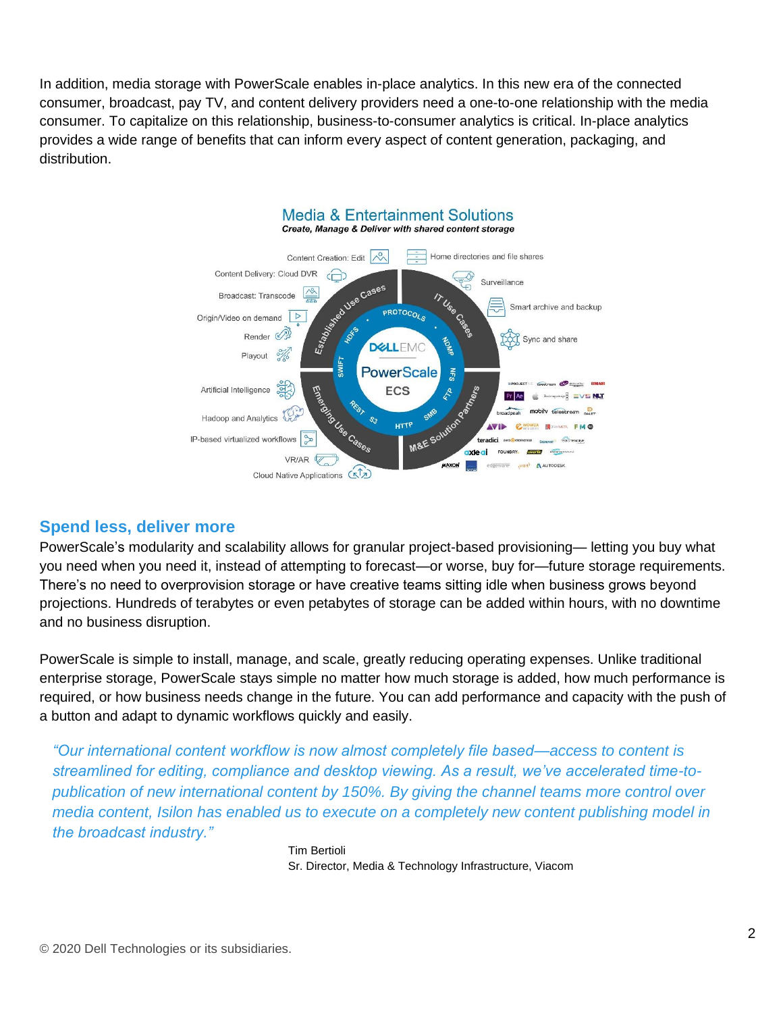In addition, media storage with PowerScale enables in-place analytics. In this new era of the connected consumer, broadcast, pay TV, and content delivery providers need a one-to-one relationship with the media consumer. To capitalize on this relationship, business-to-consumer analytics is critical. In-place analytics provides a wide range of benefits that can inform every aspect of content generation, packaging, and distribution.



## **Spend less, deliver more**

PowerScale's modularity and scalability allows for granular project-based provisioning— letting you buy what you need when you need it, instead of attempting to forecast—or worse, buy for—future storage requirements. There's no need to overprovision storage or have creative teams sitting idle when business grows beyond projections. Hundreds of terabytes or even petabytes of storage can be added within hours, with no downtime and no business disruption.

PowerScale is simple to install, manage, and scale, greatly reducing operating expenses. Unlike traditional enterprise storage, PowerScale stays simple no matter how much storage is added, how much performance is required, or how business needs change in the future. You can add performance and capacity with the push of a button and adapt to dynamic workflows quickly and easily.

*"Our international content workflow is now almost completely file based—access to content is streamlined for editing, compliance and desktop viewing. As a result, we've accelerated time-topublication of new international content by 150%. By giving the channel teams more control over media content, Isilon has enabled us to execute on a completely new content publishing model in the broadcast industry."*

> Tim Bertioli Sr. Director, Media & Technology Infrastructure, Viacom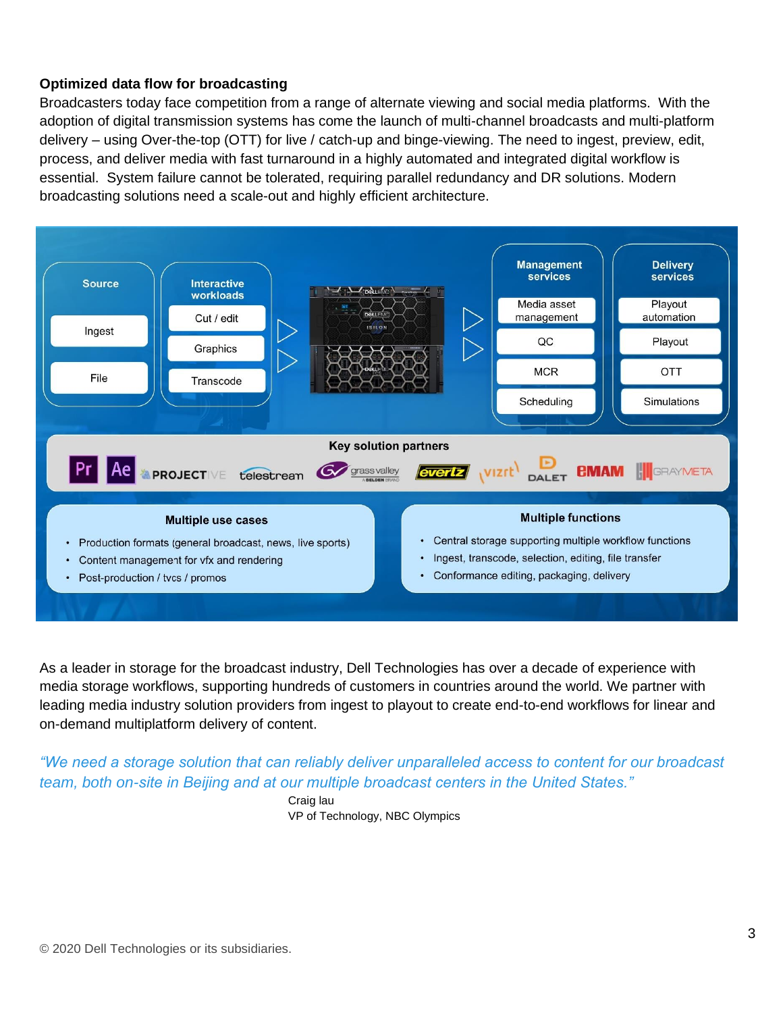### **Optimized data flow for broadcasting**

Broadcasters today face competition from a range of alternate viewing and social media platforms. With the adoption of digital transmission systems has come the launch of multi-channel broadcasts and multi-platform delivery – using Over-the-top (OTT) for live / catch-up and binge-viewing. The need to ingest, preview, edit, process, and deliver media with fast turnaround in a highly automated and integrated digital workflow is essential. System failure cannot be tolerated, requiring parallel redundancy and DR solutions. Modern broadcasting solutions need a scale-out and highly efficient architecture.



As a leader in storage for the broadcast industry, Dell Technologies has over a decade of experience with media storage workflows, supporting hundreds of customers in countries around the world. We partner with leading media industry solution providers from ingest to playout to create end-to-end workflows for linear and on-demand multiplatform delivery of content.

*"We need a storage solution that can reliably deliver unparalleled access to content for our broadcast team, both on-site in Beijing and at our multiple broadcast centers in the United States."*

> Craig lau VP of Technology, NBC Olympics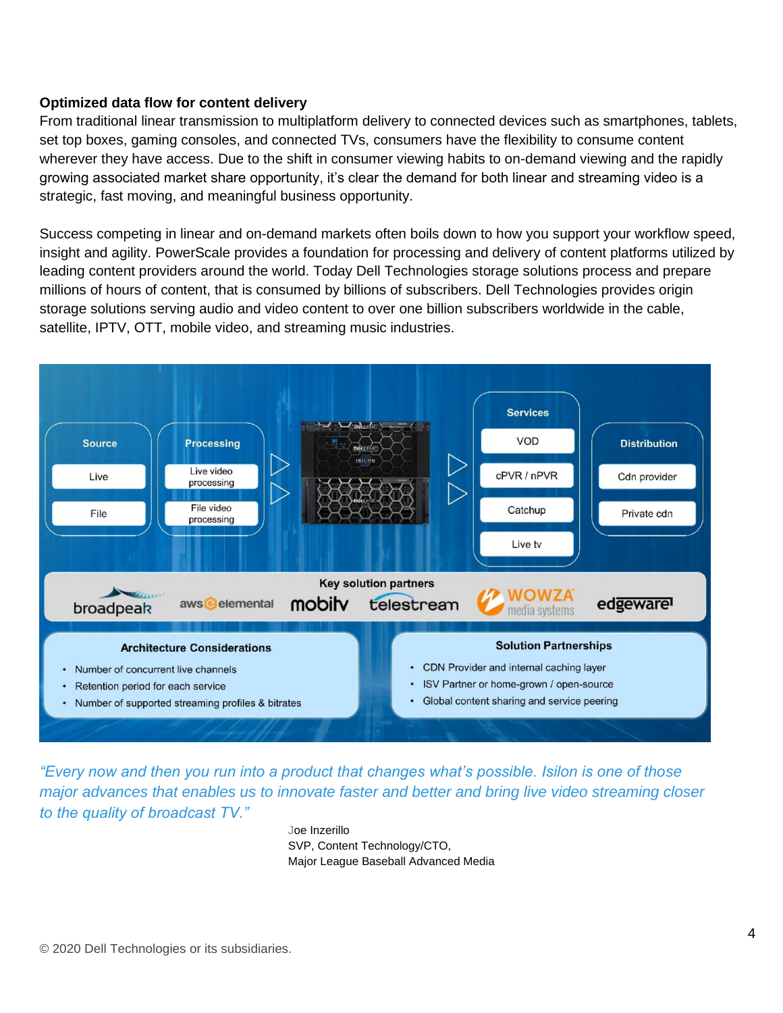### **Optimized data flow for content delivery**

From traditional linear transmission to multiplatform delivery to connected devices such as smartphones, tablets, set top boxes, gaming consoles, and connected TVs, consumers have the flexibility to consume content wherever they have access. Due to the shift in consumer viewing habits to on-demand viewing and the rapidly growing associated market share opportunity, it's clear the demand for both linear and streaming video is a strategic, fast moving, and meaningful business opportunity.

Success competing in linear and on-demand markets often boils down to how you support your workflow speed, insight and agility. PowerScale provides a foundation for processing and delivery of content platforms utilized by leading content providers around the world. Today Dell Technologies storage solutions process and prepare millions of hours of content, that is consumed by billions of subscribers. Dell Technologies provides origin storage solutions serving audio and video content to over one billion subscribers worldwide in the cable, satellite, IPTV, OTT, mobile video, and streaming music industries.



*"Every now and then you run into a product that changes what's possible. Isilon is one of those major advances that enables us to innovate faster and better and bring live video streaming closer to the quality of broadcast TV."*

> Joe Inzerillo SVP, Content Technology/CTO, Major League Baseball Advanced Media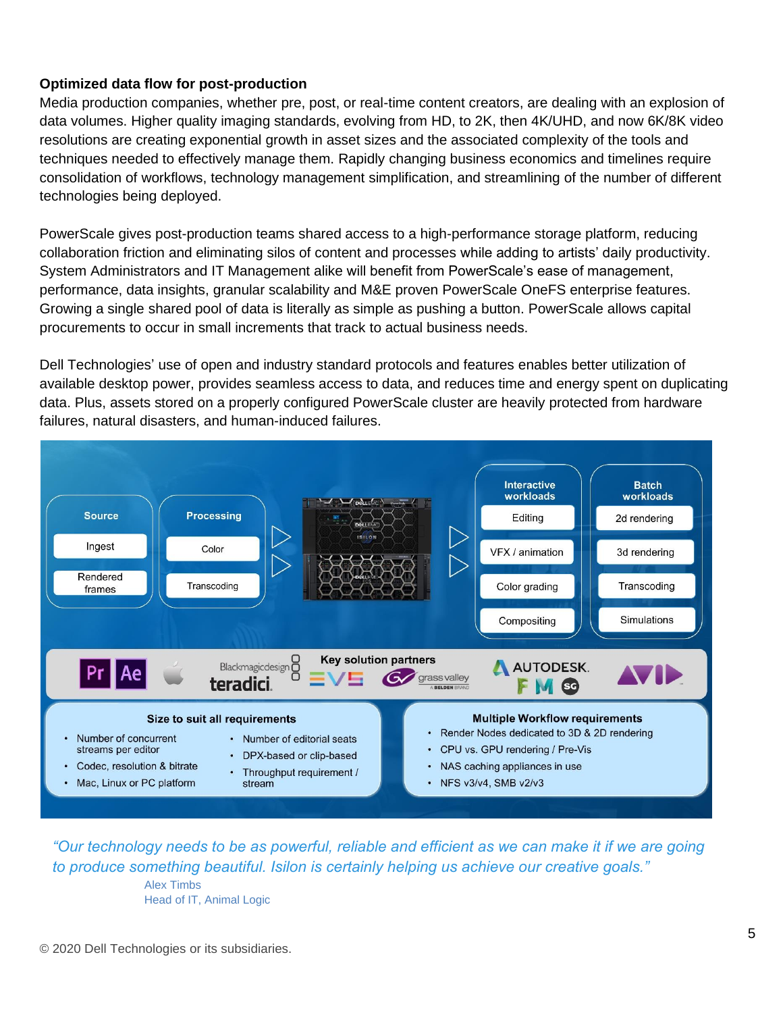### **Optimized data flow for post-production**

Media production companies, whether pre, post, or real-time content creators, are dealing with an explosion of data volumes. Higher quality imaging standards, evolving from HD, to 2K, then 4K/UHD, and now 6K/8K video resolutions are creating exponential growth in asset sizes and the associated complexity of the tools and techniques needed to effectively manage them. Rapidly changing business economics and timelines require consolidation of workflows, technology management simplification, and streamlining of the number of different technologies being deployed.

PowerScale gives post-production teams shared access to a high-performance storage platform, reducing collaboration friction and eliminating silos of content and processes while adding to artists' daily productivity. System Administrators and IT Management alike will benefit from PowerScale's ease of management, performance, data insights, granular scalability and M&E proven PowerScale OneFS enterprise features. Growing a single shared pool of data is literally as simple as pushing a button. PowerScale allows capital procurements to occur in small increments that track to actual business needs.

Dell Technologies' use of open and industry standard protocols and features enables better utilization of available desktop power, provides seamless access to data, and reduces time and energy spent on duplicating data. Plus, assets stored on a properly configured PowerScale cluster are heavily protected from hardware failures, natural disasters, and human-induced failures.



*"Our technology needs to be as powerful, reliable and efficient as we can make it if we are going to produce something beautiful. Isilon is certainly helping us achieve our creative goals."*

> Alex Timbs Head of IT, Animal Logic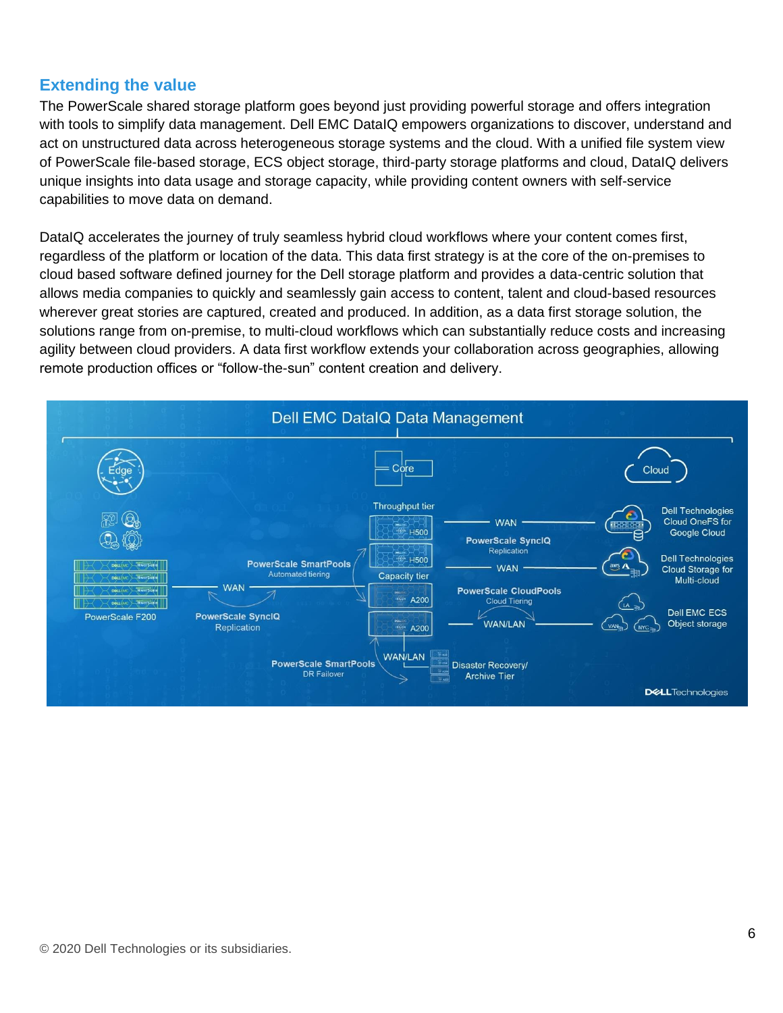# **Extending the value**

The PowerScale shared storage platform goes beyond just providing powerful storage and offers integration with tools to simplify data management. Dell EMC DataIQ empowers organizations to discover, understand and act on unstructured data across heterogeneous storage systems and the cloud. With a unified file system view of PowerScale file-based storage, ECS object storage, third-party storage platforms and cloud, DataIQ delivers unique insights into data usage and storage capacity, while providing content owners with self-service capabilities to move data on demand.

DataIQ accelerates the journey of truly seamless hybrid cloud workflows where your content comes first, regardless of the platform or location of the data. This data first strategy is at the core of the on-premises to cloud based software defined journey for the Dell storage platform and provides a data-centric solution that allows media companies to quickly and seamlessly gain access to content, talent and cloud-based resources wherever great stories are captured, created and produced. In addition, as a data first storage solution, the solutions range from on-premise, to multi-cloud workflows which can substantially reduce costs and increasing agility between cloud providers. A data first workflow extends your collaboration across geographies, allowing remote production offices or "follow-the-sun" content creation and delivery.